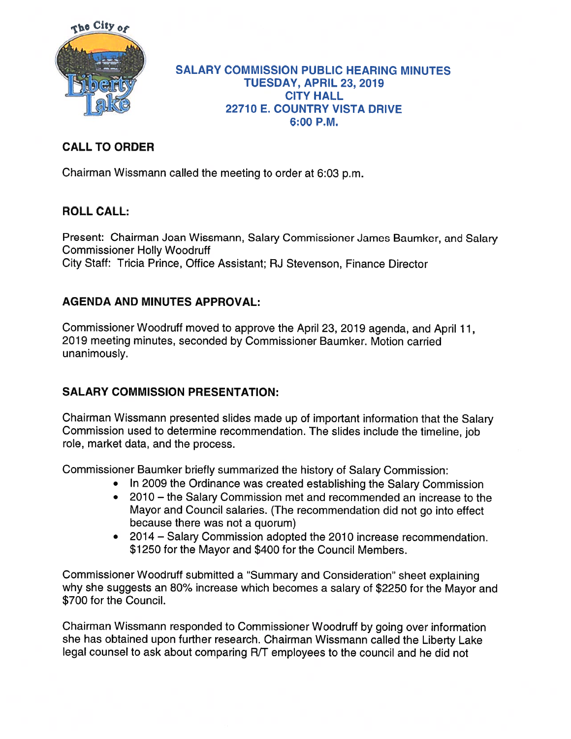

#### SALARY COMMISSION PUBLIC HEARING MINUTES TUESDAY, APRIL 23, 2019 CITY HALL 22710 E. COUNTRY VISTA DRIVE 6:00 P.M.

# CALL TO ORDER

Chairman Wissmann called the meeting to order at 6:03 p.m.

## ROLL CALL:

Present: Chairman Joan Wissmann, Salary Commissioner James Baumker, and Salary Commissioner Holly Woodruff City Staff: Tricia Prince, Office Assistant; RJ Stevenson, Finance Director

# AGENDA AND MINUTES APPROVAL:

Commissioner Woodruff moved to approve the April 23, 2019 agenda, and April 11, 2019 meeting minutes, seconded by Commissioner Baumker. Motion carried unanimously.

## SALARY COMMISSION PRESENTATION:

Chairman Wissmann presented slides made up of important information that the Salary Commission used to determine recommendation. The slides include the timeline, job role, market data, and the process.

Commissioner Baumker briefly summarized the history of Salary Commission:

- In 2009 the Ordinance was created establishing the Salary Commission
- 2010 the Salary Commission met and recommended an increase to the Mayor and Council salaries. (The recommendation did not go into effect because there was not <sup>a</sup> quorum)
- 2014— Salary Commission adopted the 2010 increase recommendation. \$1250 for the Mayor and \$400 for the Council Members.

Commissioner Woodruff submitted <sup>a</sup> "Summary and Consideration" sheet explaining why she suggests an 80% increase which becomes <sup>a</sup> salary of \$2250 for the Mayor and \$700 for the Council.

Chairman Wissmann responded to Commissioner Woodruff by going over information she has obtained upon further research. Chairman Wissmann called the Liberty Lake legal counsel to ask about comparing R/T employees to the council and he did not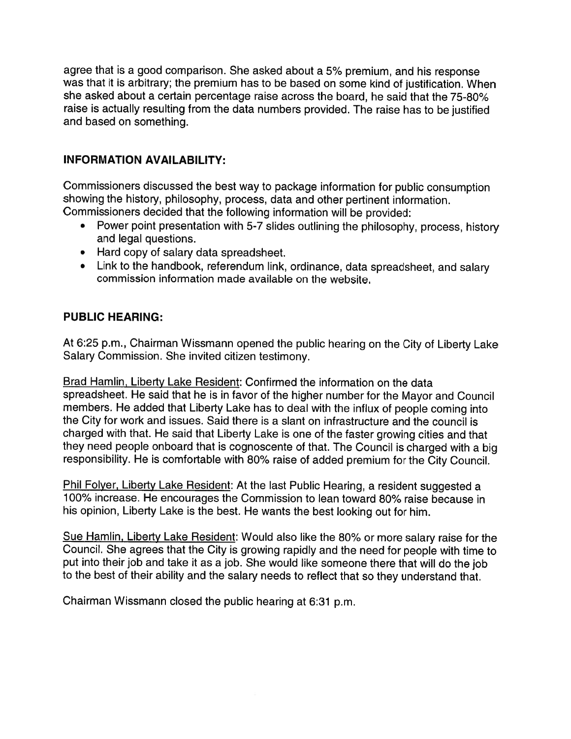agree that is <sup>a</sup> goo<sup>d</sup> comparison. She asked about <sup>a</sup> 5% premium, and his response was that it is arbitrary; the premium has to be based on some kind of justification. When she asked about <sup>a</sup> certain percentage raise across the board, he said that the 75-80% raise is actually resulting from the data numbers provided. The raise has to be justified and based on something.

### INFORMATION AVAILABILITY:

Commissioners discussed the best way to package information for public consumption showing the history, <sup>p</sup>hilosophy, process, data and other pertinent information. Commissioners decided that the following information will be provided:

- • Power point presentation with 5-7 slides outlining the <sup>p</sup>hilosophy, process, history and legal questions.
- Hard copy of salary data spreadsheet.
- Link to the handbook, referendum link, ordinance, data spreadsheet, and salary commission information made available on the website.

### PUBLIC HEARING:

At 6:25 p.m., Chairman Wissmann opened the public hearing on the City of Liberty Lake Salary Commission. She invited citizen testimony.

Brad Hamlin, Liberty Lake Resident: Confirmed the information on the data spreadsheet. He said that he is in favor of the higher number for the Mayor and Council members. He added that Liberty Lake has to deal with the influx of people coming into the City for work and issues. Said there is <sup>a</sup> slant on infrastructure and the council is charged with that. He said that Liberty Lake is one of the faster growing cities and that they need people onboard that is cognoscente of that. The Council is charged with <sup>a</sup> big responsibility. He is comfortable with 80% raise of added premium for the City Council.

Phil Folyer, Liberty Lake Resident: At the last Public Hearing, a resident suggested a 100% increase. He encourages the Commission to lean toward 80% raise because in his opinion, Liberty Lake is the best. He wants the best looking out for him.

Sue Hamlin, Liberty Lake Resident: Would also like the 80% or more salary raise for the Council. She agrees that the City is growing rapidly and the need for people with time to pu<sup>t</sup> into their job and take it as <sup>a</sup> job. She would like someone there that will do the job to the best of their ability and the salary needs to reflect that so they understand that.

Chairman Wissmann closed the public hearing at 6:31 p.m.